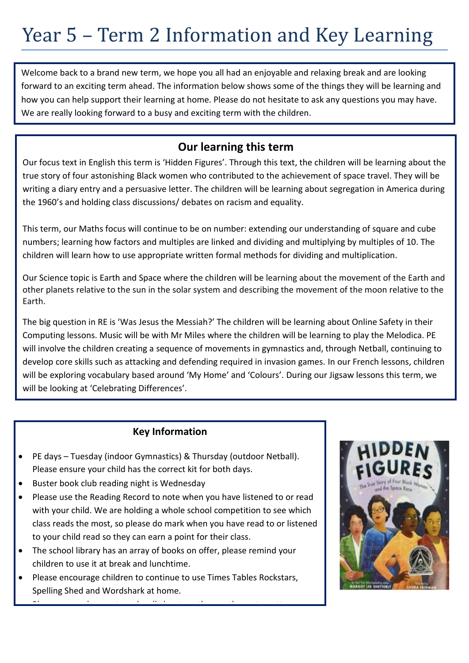# Year 5 – Term 2 Information and Key Learning

Welcome back to a brand new term, we hope you all had an enjoyable and relaxing break and are looking forward to an exciting term ahead. The information below shows some of the things they will be learning and how you can help support their learning at home. Please do not hesitate to ask any questions you may have. We are really looking forward to a busy and exciting term with the children.

#### **Our learning this term**

Our focus text in English this term is 'Hidden Figures'. Through this text, the children will be learning about the true story of four astonishing Black women who contributed to the achievement of space travel. They will be writing a diary entry and a persuasive letter. The children will be learning about segregation in America during the 1960's and holding class discussions/ debates on racism and equality.

This term, our Maths focus will continue to be on number: extending our understanding of square and cube numbers; learning how factors and multiples are linked and dividing and multiplying by multiples of 10. The children will learn how to use appropriate written formal methods for dividing and multiplication.

Our Science topic is Earth and Space where the children will be learning about the movement of the Earth and other planets relative to the sun in the solar system and describing the movement of the moon relative to the Earth.

The big question in RE is 'Was Jesus the Messiah?' The children will be learning about Online Safety in their Computing lessons. Music will be with Mr Miles where the children will be learning to play the Melodica. PE will involve the children creating a sequence of movements in gymnastics and, through Netball, continuing to develop core skills such as attacking and defending required in invasion games. In our French lessons, children will be exploring vocabulary based around 'My Home' and 'Colours'. During our Jigsaw lessons this term, we will be looking at 'Celebrating Differences'.

#### **Key Information**

- PE days Tuesday (indoor Gymnastics) & Thursday (outdoor Netball). Please ensure your child has the correct kit for both days.
- Buster book club reading night is Wednesday
- Please use the Reading Record to note when you have listened to or read with your child. We are holding a whole school competition to see which class reads the most, so please do mark when you have read to or listened to your child read so they can earn a point for their class.
- The school library has an array of books on offer, please remind your children to use it at break and lunchtime.
- Please encourage children to continue to use Times Tables Rockstars, Spelling Shed and Wordshark at home.

• Please remember coats and welly boots as the weather gets wetter.